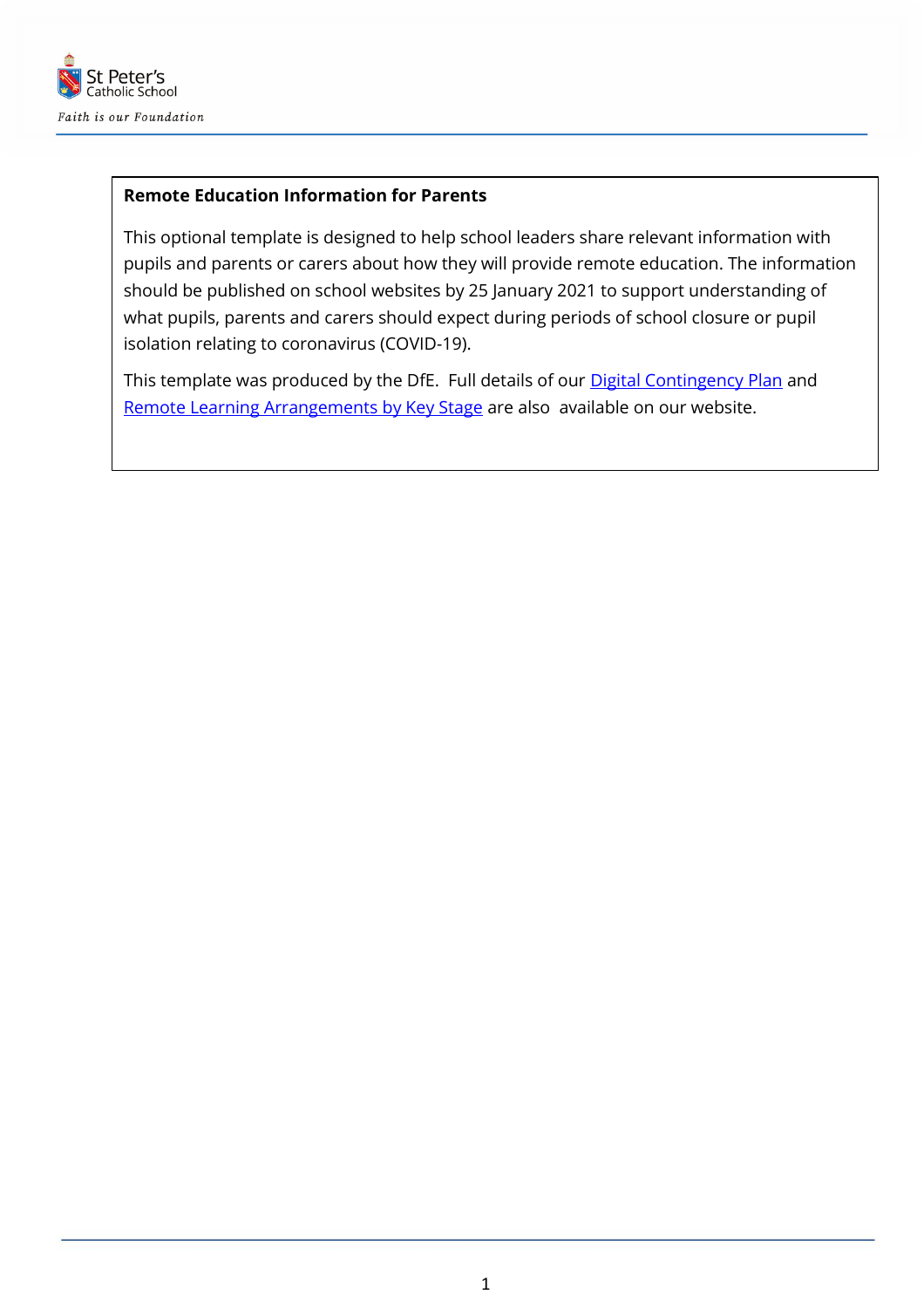

#### **Remote Education Information for Parents**

This optional template is designed to help school leaders share relevant information with pupils and parents or carers about how they will provide remote education. The information should be published on school websites by 25 January 2021 to support understanding of what pupils, parents and carers should expect during periods of school closure or pupil isolation relating to coronavirus (COVID-19).

This template was produced by the DfE. Full details of our **Digital Contingency Plan** and [Remote Learning Arrangements by Key Stage](https://www.st-peters.solihull.sch.uk/curriculum-2/) are also available on our website.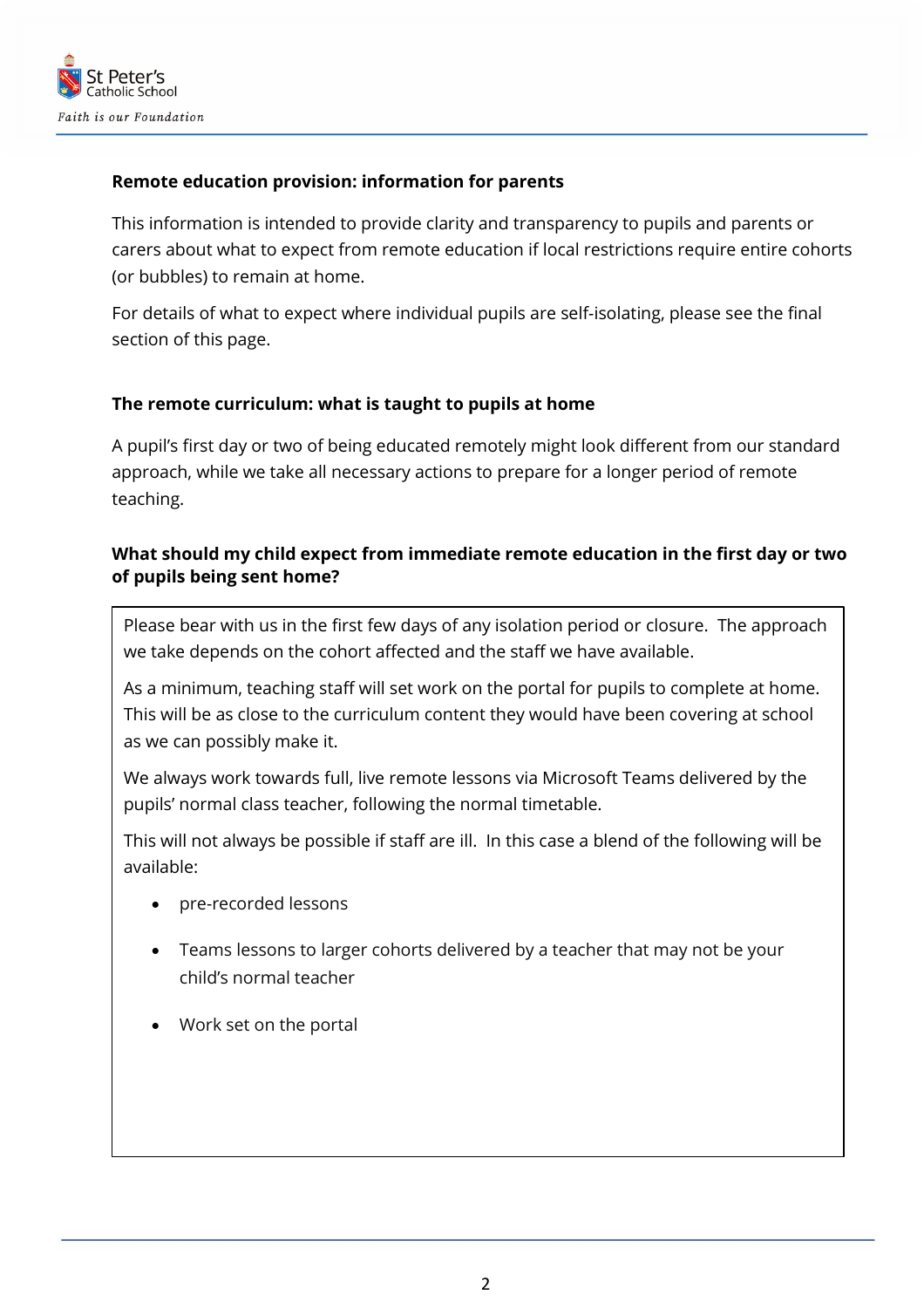

## **Remote education provision: information for parents**

This information is intended to provide clarity and transparency to pupils and parents or carers about what to expect from remote education if local restrictions require entire cohorts (or bubbles) to remain at home.

For details of what to expect where individual pupils are self-isolating, please see the final section of this page.

#### **The remote curriculum: what is taught to pupils at home**

A pupil's first day or two of being educated remotely might look different from our standard approach, while we take all necessary actions to prepare for a longer period of remote teaching.

## **What should my child expect from immediate remote education in the first day or two of pupils being sent home?**

Please bear with us in the first few days of any isolation period or closure. The approach we take depends on the cohort affected and the staff we have available.

As a minimum, teaching staff will set work on the portal for pupils to complete at home. This will be as close to the curriculum content they would have been covering at school as we can possibly make it.

We always work towards full, live remote lessons via Microsoft Teams delivered by the pupils' normal class teacher, following the normal timetable.

This will not always be possible if staff are ill. In this case a blend of the following will be available:

- pre-recorded lessons
- Teams lessons to larger cohorts delivered by a teacher that may not be your child's normal teacher
- Work set on the portal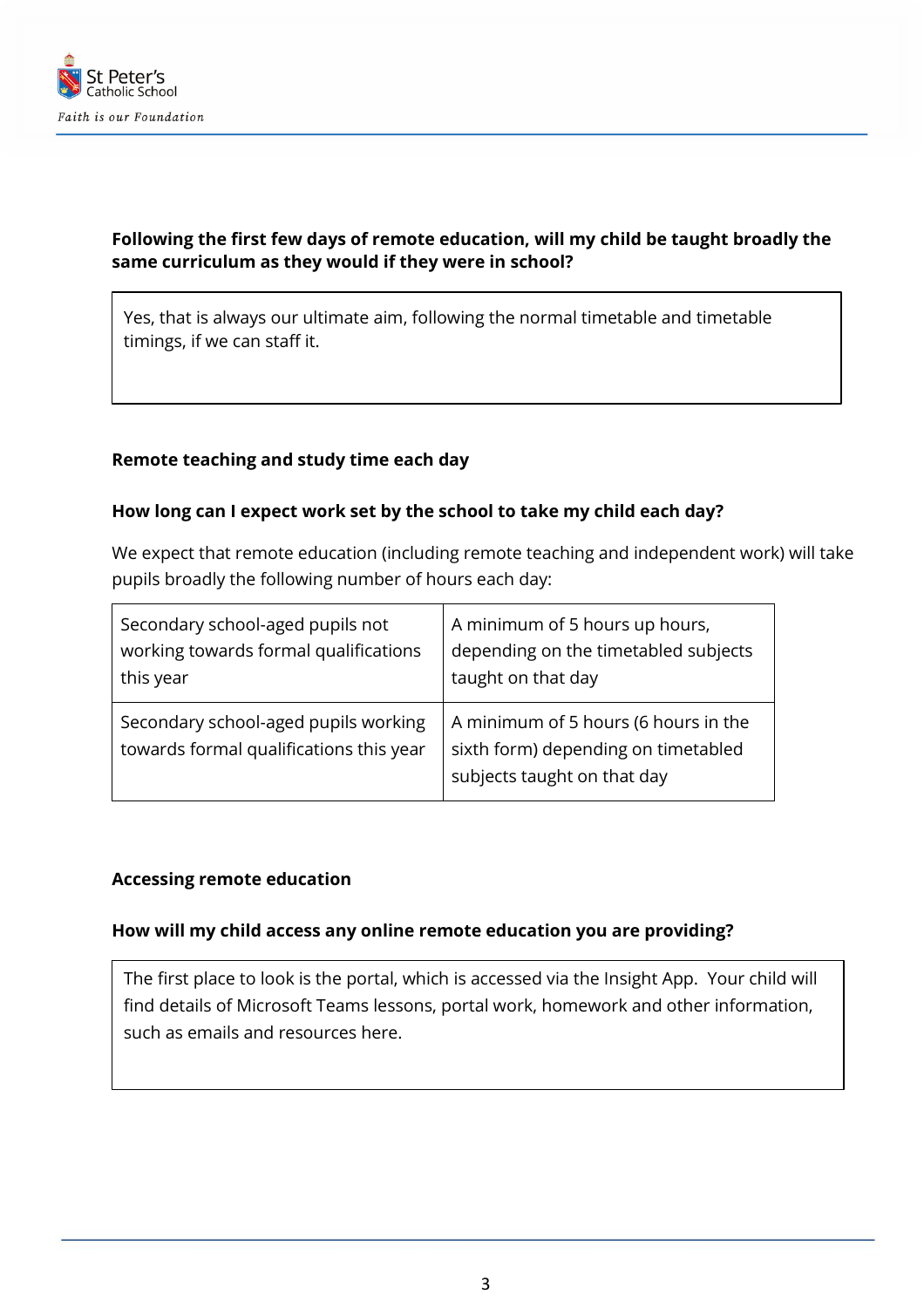

# **Following the first few days of remote education, will my child be taught broadly the same curriculum as they would if they were in school?**

Yes, that is always our ultimate aim, following the normal timetable and timetable timings, if we can staff it.

#### **Remote teaching and study time each day**

#### **How long can I expect work set by the school to take my child each day?**

We expect that remote education (including remote teaching and independent work) will take pupils broadly the following number of hours each day:

| Secondary school-aged pupils not                                                | A minimum of 5 hours up hours,                                                                             |
|---------------------------------------------------------------------------------|------------------------------------------------------------------------------------------------------------|
| working towards formal qualifications                                           | depending on the timetabled subjects                                                                       |
| this year                                                                       | taught on that day                                                                                         |
| Secondary school-aged pupils working<br>towards formal qualifications this year | A minimum of 5 hours (6 hours in the<br>sixth form) depending on timetabled<br>subjects taught on that day |

#### **Accessing remote education**

#### **How will my child access any online remote education you are providing?**

The first place to look is the portal, which is accessed via the Insight App. Your child will find details of Microsoft Teams lessons, portal work, homework and other information, such as emails and resources here.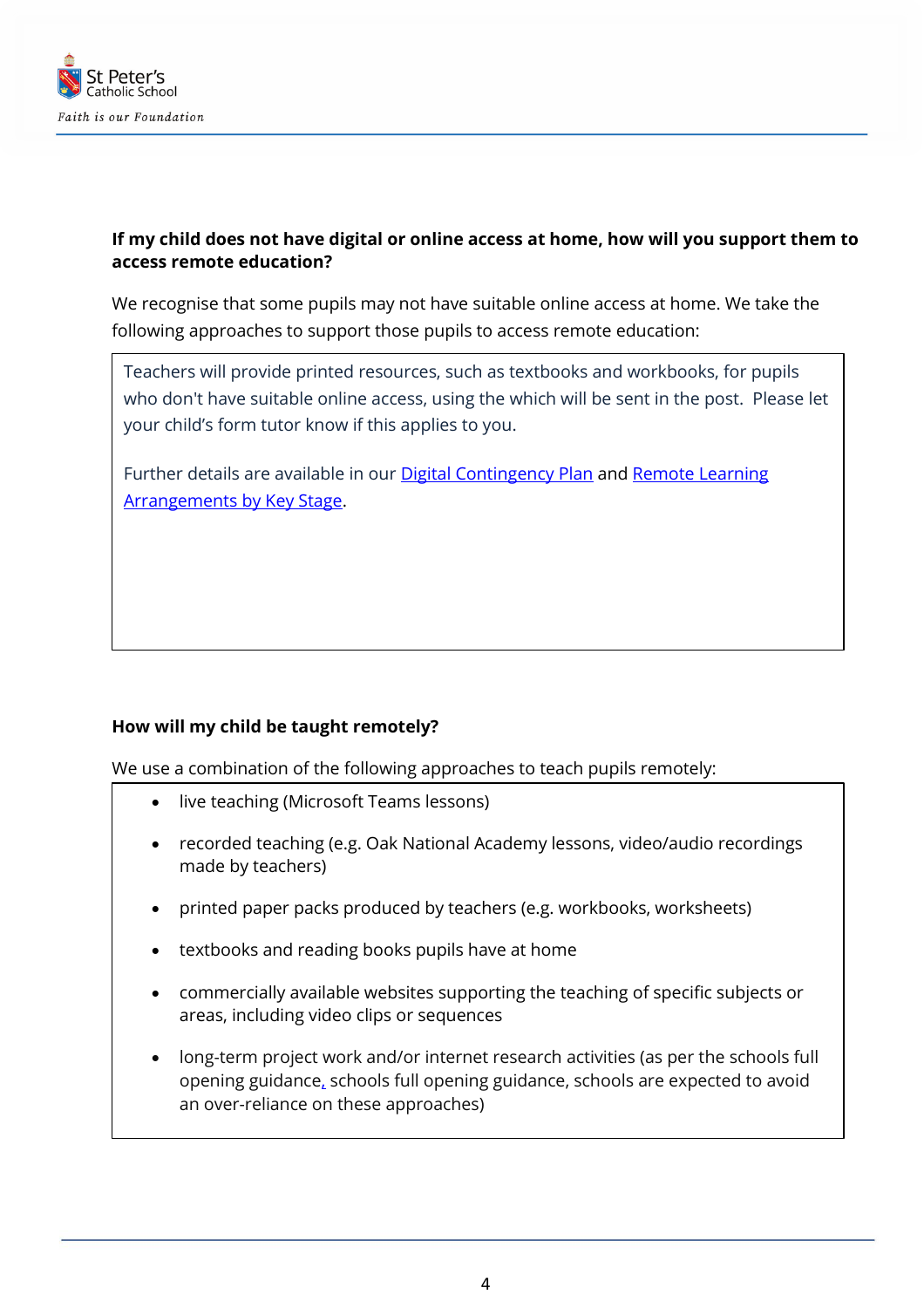

# **If my child does not have digital or online access at home, how will you support them to access remote education?**

We recognise that some pupils may not have suitable online access at home. We take the following approaches to support those pupils to access remote education:

Teachers will provide printed resources, such as textbooks and workbooks, for pupils who don't have suitable online access, using the which will be sent in the post. Please let your child's form tutor know if this applies to you.

Further details are available in our [Digital Contingency Plan](https://www.st-peters.solihull.sch.uk/curriculum-2/) and [Remote Learning](https://www.st-peters.solihull.sch.uk/curriculum-2/)  **[Arrangements by Key Stage.](https://www.st-peters.solihull.sch.uk/curriculum-2/)** 

## **How will my child be taught remotely?**

We use a combination of the following approaches to teach pupils remotely:

- live teaching (Microsoft Teams lessons)
- recorded teaching (e.g. Oak National Academy lessons, video/audio recordings made by teachers)
- printed paper packs produced by teachers (e.g. workbooks, worksheets)
- textbooks and reading books pupils have at home
- commercially available websites supporting the teaching of specific subjects or areas, including video clips or sequences
- long-term project work and/or internet research activities (as per the [schools full](https://www.gov.uk/government/publications/actions-for-schools-during-the-coronavirus-outbreak/guidance-for-full-opening-schools#res)  [opening guidance,](https://www.gov.uk/government/publications/actions-for-schools-during-the-coronavirus-outbreak/guidance-for-full-opening-schools#res) schools full opening guidance, schools are expected to avoid an over-reliance on these approaches)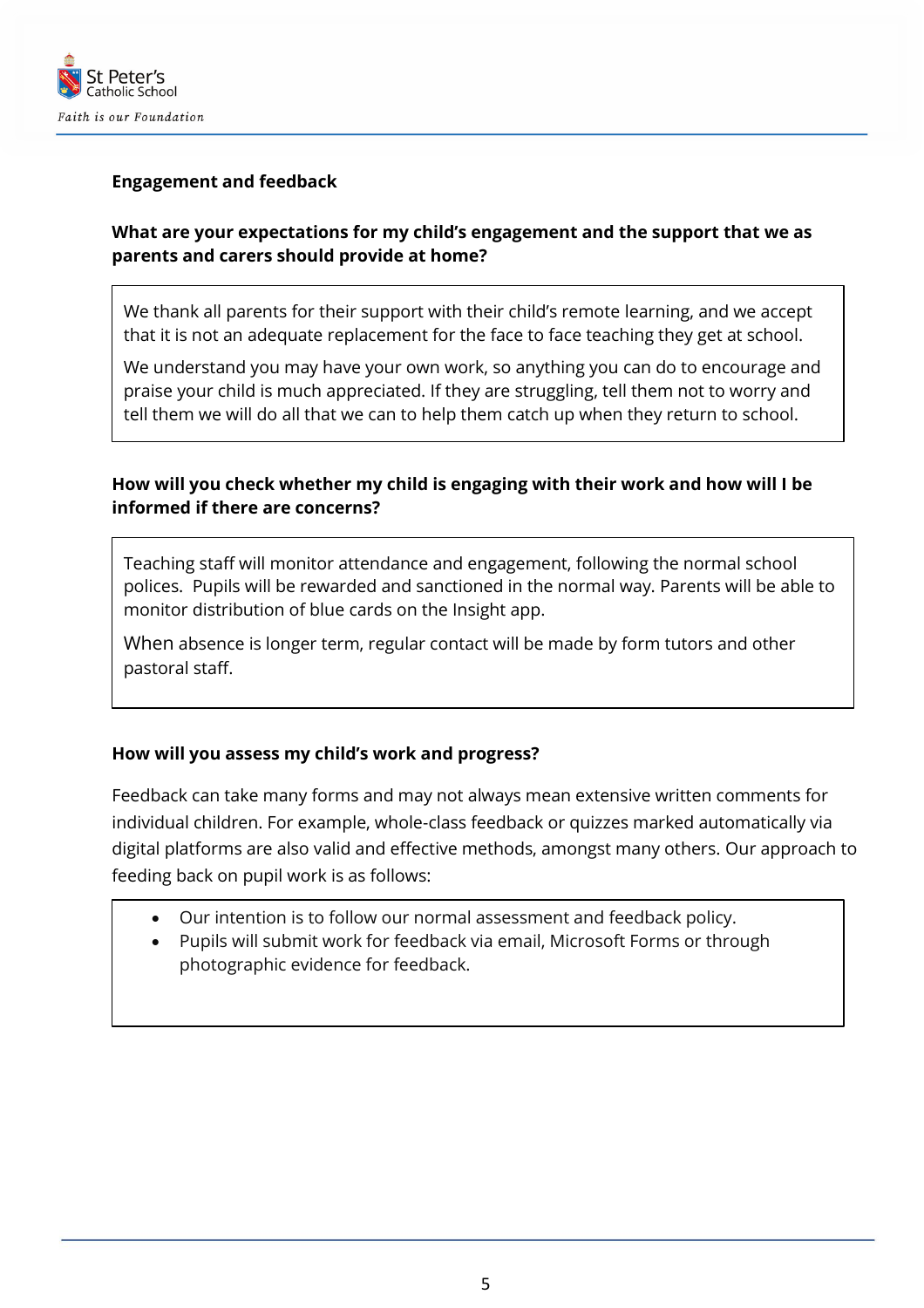

## **Engagement and feedback**

## **What are your expectations for my child's engagement and the support that we as parents and carers should provide at home?**

We thank all parents for their support with their child's remote learning, and we accept that it is not an adequate replacement for the face to face teaching they get at school.

We understand you may have your own work, so anything you can do to encourage and praise your child is much appreciated. If they are struggling, tell them not to worry and tell them we will do all that we can to help them catch up when they return to school.

# **How will you check whether my child is engaging with their work and how will I be informed if there are concerns?**

Teaching staff will monitor attendance and engagement, following the normal school polices. Pupils will be rewarded and sanctioned in the normal way. Parents will be able to monitor distribution of blue cards on the Insight app.

When absence is longer term, regular contact will be made by form tutors and other pastoral staff.

## **How will you assess my child's work and progress?**

Feedback can take many forms and may not always mean extensive written comments for individual children. For example, whole-class feedback or quizzes marked automatically via digital platforms are also valid and effective methods, amongst many others. Our approach to feeding back on pupil work is as follows:

- Our intention is to follow our normal assessment and feedback policy.
- Pupils will submit work for feedback via email, Microsoft Forms or through photographic evidence for feedback.